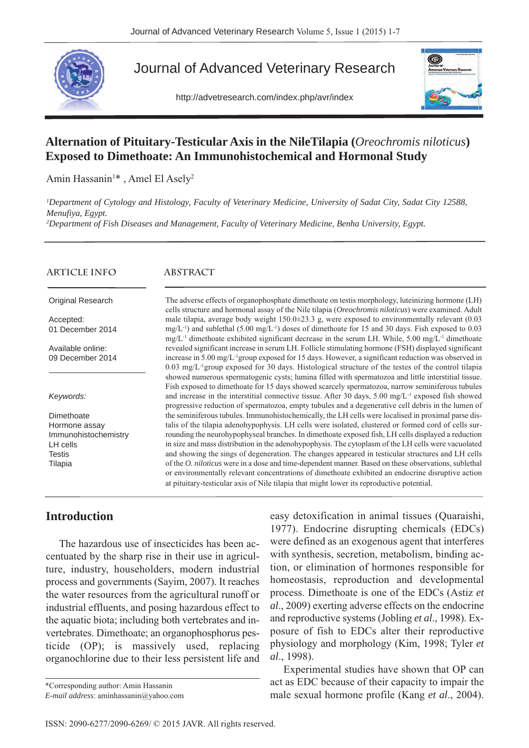

# Journal of Advanced Veterinary Research

http://advetresearch.com/index.php/avr/index



# **Alternation of Pituitary-Testicular Axis in the NileTilapia (***Oreochromis niloticus***) Exposed to Dimethoate: An Immunohistochemical and Hormonal Study**

Amin Hassanin<sup>1\*</sup>, Amel El Asely<sup>2</sup>

*1 Department of Cytology and Histology, Faculty of Veterinary Medicine, University of Sadat City, Sadat City 12588, Menufiya, Egypt.*

*2 Department of Fish Diseases and Management, Faculty of Veterinary Medicine, Benha University, Egypt.* 

#### **ARTICLE INFO**

#### **ABSTRACT**

Original Research

Accepted: 01 December 2014

Available online: 09 December 2014

*Keywords:*

**Dimethoate** Hormone assay Immunohistochemistry LH cells **Testis** Tilapia

The adverse effects of organophosphate dimethoate on testis morphology, luteinizing hormone (LH) cells structure and hormonal assay of the Nile tilapia (*Oreochromis niloticus*) were examined. Adult male tilapia, average body weight  $150.0\pm 23.3$  g, were exposed to environmentally relevant (0.03)  $mg/L^{-1}$ ) and sublethal (5.00 mg/L<sup>-1</sup>) doses of dimethoate for 15 and 30 days. Fish exposed to 0.03  $mg/L^{-1}$  dimethoate exhibited significant decrease in the serum LH. While, 5.00 mg/L<sup>-1</sup> dimethoate revealed significant increase in serum LH. Follicle stimulating hormone (FSH) displayed significant increase in 5.00 mg/L-1group exposed for 15 days. However, a significant reduction was observed in 0.03 mg/L-1group exposed for 30 days. Histological structure of the testes of the control tilapia showed numerous spermatogenic cysts; lumina filled with spermatozoa and little interstitial tissue. Fish exposed to dimethoate for 15 days showed scarcely spermatozoa, narrow seminiferous tubules and increase in the interstitial connective tissue. After 30 days, 5.00 mg/L<sup>-1</sup> exposed fish showed progressive reduction of spermatozoa, empty tubules and a degenerative cell debris in the lumen of the seminiferous tubules. Immunohistochemically, the LH cells were localised in proximal parse distalis of the tilapia adenohypophysis. LH cells were isolated, clustered or formed cord of cells surrounding the neurohypophyseal branches. In dimethoate exposed fish, LH cells displayed a reduction in size and mass distribution in the adenohypophysis. The cytoplasm of the LH cells were vacuolated and showing the sings of degeneration. The changes appeared in testicular structures and LH cells of the *O. niloticus* were in a dose and time-dependent manner. Based on these observations, sublethal or environmentally relevant concentrations of dimethoate exhibited an endocrine disruptive action at pituitary-testicular axis of Nile tilapia that might lower its reproductive potential.

## **Introduction**

The hazardous use of insecticides has been accentuated by the sharp rise in their use in agriculture, industry, householders, modern industrial process and governments (Sayim, 2007). It reaches the water resources from the agricultural runoff or industrial effluents, and posing hazardous effect to the aquatic biota; including both vertebrates and invertebrates. Dimethoate; an organophosphorus pesticide (OP); is massively used, replacing organochlorine due to their less persistent life and

\*Corresponding author: Amin Hassanin *E-mail address*: aminhassanin@yahoo.com easy detoxification in animal tissues (Quaraishi, 1977). Endocrine disrupting chemicals (EDCs) were defined as an exogenous agent that interferes with synthesis, secretion, metabolism, binding action, or elimination of hormones responsible for homeostasis, reproduction and developmental process. Dimethoate is one of the EDCs (Astiz *et al*., 2009) exerting adverse effects on the endocrine and reproductive systems (Jobling *et al*., 1998). Exposure of fish to EDCs alter their reproductive physiology and morphology (Kim, 1998; Tyler *et al*., 1998).

Experimental studies have shown that OP can act as EDC because of their capacity to impair the male sexual hormone profile (Kang *et al*., 2004).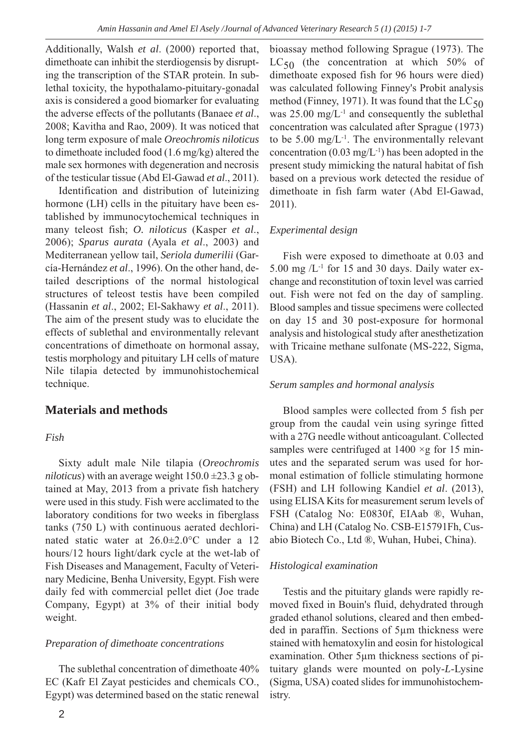Additionally, Walsh *et al*. (2000) reported that, dimethoate can inhibit the sterdiogensis by disrupting the transcription of the STAR protein. In sublethal toxicity, the hypothalamo-pituitary-gonadal axis is considered a good biomarker for evaluating the adverse effects of the pollutants (Banaee *et al*., 2008; Kavitha and Rao, 2009). It was noticed that long term exposure of male *Oreochromis niloticus* to dimethoate included food (1.6 mg/kg) altered the male sex hormones with degeneration and necrosis of the testicular tissue (Abd El-Gawad *et al*., 2011).

Identification and distribution of luteinizing hormone (LH) cells in the pituitary have been established by immunocytochemical techniques in many teleost fish; *O. niloticus* (Kasper *et al*., 2006); *Sparus aurata* (Ayala *et al*., 2003) and Mediterranean yellow tail, *Seriola dumerilii* (García-Hernández *et al*., 1996). On the other hand, detailed descriptions of the normal histological structures of teleost testis have been compiled (Hassanin *et al*., 2002; El-Sakhawy *et al*., 2011). The aim of the present study was to elucidate the effects of sublethal and environmentally relevant concentrations of dimethoate on hormonal assay, testis morphology and pituitary LH cells of mature Nile tilapia detected by immunohistochemical technique.

## **Materials and methods**

### *Fish*

Sixty adult male Nile tilapia (*Oreochromis niloticus*) with an average weight  $150.0 \pm 23.3$  g obtained at May, 2013 from a private fish hatchery were used in this study. Fish were acclimated to the laboratory conditions for two weeks in fiberglass tanks (750 L) with continuous aerated dechlorinated static water at 26.0±2.0°C under a 12 hours/12 hours light/dark cycle at the wet-lab of Fish Diseases and Management, Faculty of Veterinary Medicine, Benha University, Egypt. Fish were daily fed with commercial pellet diet (Joe trade Company, Egypt) at 3% of their initial body weight.

### *Preparation of dimethoate concentrations*

The sublethal concentration of dimethoate 40% EC (Kafr El Zayat pesticides and chemicals CO., Egypt) was determined based on the static renewal

bioassay method following Sprague (1973). The  $LC_{50}$  (the concentration at which 50% of dimethoate exposed fish for 96 hours were died) was calculated following Finney's Probit analysis method (Finney, 1971). It was found that the  $LC_{50}$ was 25.00 mg/L-1 and consequently the sublethal concentration was calculated after Sprague (1973) to be  $5.00 \text{ mg/L}^{-1}$ . The environmentally relevant concentration  $(0.03 \text{ mg/L}^{-1})$  has been adopted in the present study mimicking the natural habitat of fish based on a previous work detected the residue of dimethoate in fish farm water (Abd El-Gawad, 2011).

### *Experimental design*

Fish were exposed to dimethoate at 0.03 and 5.00 mg  $/L^{-1}$  for 15 and 30 days. Daily water exchange and reconstitution of toxin level was carried out. Fish were not fed on the day of sampling. Blood samples and tissue specimens were collected on day 15 and 30 post-exposure for hormonal analysis and histological study after anesthetization with Tricaine methane sulfonate (MS-222, Sigma, USA).

### *Serum samples and hormonal analysis*

Blood samples were collected from 5 fish per group from the caudal vein using syringe fitted with a 27G needle without anticoagulant. Collected samples were centrifuged at  $1400 \times g$  for 15 minutes and the separated serum was used for hormonal estimation of follicle stimulating hormone (FSH) and LH following Kandiel *et al*. (2013), using ELISA Kits for measurement serum levels of FSH (Catalog No: E0830f, EIAab ®, Wuhan, China) and LH (Catalog No. CSB-E15791Fh, Cusabio Biotech Co., Ltd ®, Wuhan, Hubei, China).

### *Histological examination*

Testis and the pituitary glands were rapidly removed fixed in Bouin's fluid, dehydrated through graded ethanol solutions, cleared and then embedded in paraffin. Sections of 5µm thickness were stained with hematoxylin and eosin for histological examination. Other 5µm thickness sections of pituitary glands were mounted on poly-*L*-Lysine (Sigma, USA) coated slides for immunohistochemistry.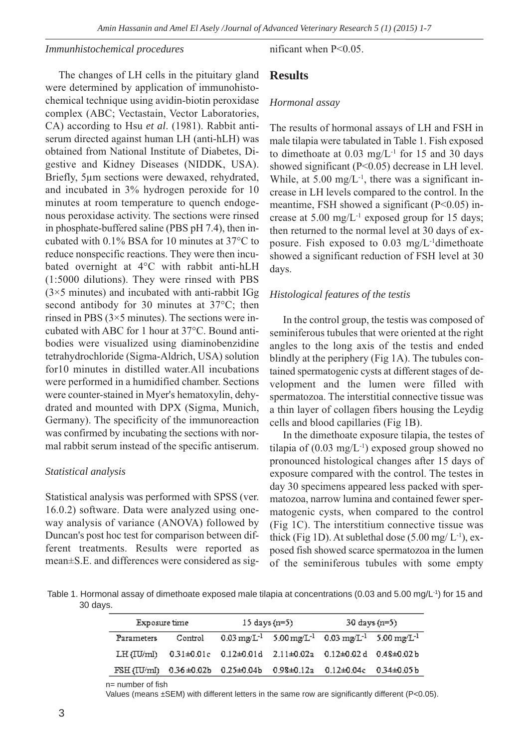#### *Immunhistochemical procedures*

The changes of LH cells in the pituitary gland were determined by application of immunohistochemical technique using avidin-biotin peroxidase complex (ABC; Vectastain, Vector Laboratories, CA) according to Hsu *et al*. (1981). Rabbit antiserum directed against human LH (anti-hLH) was obtained from National Institute of Diabetes, Digestive and Kidney Diseases (NIDDK, USA). Briefly, 5µm sections were dewaxed, rehydrated, and incubated in 3% hydrogen peroxide for 10 minutes at room temperature to quench endogenous peroxidase activity. The sections were rinsed in phosphate-buffered saline (PBS pH 7.4), then incubated with 0.1% BSA for 10 minutes at 37°C to reduce nonspecific reactions. They were then incubated overnight at 4°C with rabbit anti-hLH (1:5000 dilutions). They were rinsed with PBS  $(3\times5$  minutes) and incubated with anti-rabbit IGg second antibody for 30 minutes at 37°C; then rinsed in PBS  $(3\times5$  minutes). The sections were incubated with ABC for 1 hour at 37°C. Bound antibodies were visualized using diaminobenzidine tetrahydrochloride (Sigma-Aldrich, USA) solution for10 minutes in distilled water.All incubations were performed in a humidified chamber. Sections were counter-stained in Myer's hematoxylin, dehydrated and mounted with DPX (Sigma, Munich, Germany). The specificity of the immunoreaction was confirmed by incubating the sections with normal rabbit serum instead of the specific antiserum.

#### *Statistical analysis*

Statistical analysis was performed with SPSS (ver. 16.0.2) software. Data were analyzed using oneway analysis of variance (ANOVA) followed by Duncan's post hoc test for comparison between different treatments. Results were reported as mean±S.E. and differences were considered as significant when P<0.05.

### **Results**

#### *Hormonal assay*

The results of hormonal assays of LH and FSH in male tilapia were tabulated in Table 1. Fish exposed to dimethoate at  $0.03 \text{ mg/L}^{-1}$  for 15 and 30 days showed significant (P<0.05) decrease in LH level. While, at  $5.00 \text{ mg/L}^{-1}$ , there was a significant increase in LH levels compared to the control. In the meantime, FSH showed a significant  $(P<0.05)$  increase at  $5.00 \text{ mg/L}$ <sup>-1</sup> exposed group for 15 days; then returned to the normal level at 30 days of exposure. Fish exposed to  $0.03 \text{ mg/L}$ <sup>-1</sup>dimethoate showed a significant reduction of FSH level at 30 days.

#### *Histological features of the testis*

In the control group, the testis was composed of seminiferous tubules that were oriented at the right angles to the long axis of the testis and ended blindly at the periphery (Fig 1A). The tubules contained spermatogenic cysts at different stages of development and the lumen were filled with spermatozoa. The interstitial connective tissue was a thin layer of collagen fibers housing the Leydig cells and blood capillaries (Fig 1B).

In the dimethoate exposure tilapia, the testes of tilapia of  $(0.03 \text{ mg/L}^{-1})$  exposed group showed no pronounced histological changes after 15 days of exposure compared with the control. The testes in day 30 specimens appeared less packed with spermatozoa, narrow lumina and contained fewer spermatogenic cysts, when compared to the control (Fig 1C). The interstitium connective tissue was thick (Fig 1D). At sublethal dose  $(5.00 \text{ mg/L}^{-1})$ , exposed fish showed scarce spermatozoa in the lumen of the seminiferous tubules with some empty

Table 1. Hormonal assay of dimethoate exposed male tilapia at concentrations (0.03 and 5.00 mg/L-1) for 15 and 30 days.

| Exposure time |         | $15 \text{ days} (n=5)$ |  | $30 \text{ days} (n=5)$                                                                          |  |
|---------------|---------|-------------------------|--|--------------------------------------------------------------------------------------------------|--|
| Parameters    | Control |                         |  | $0.03 \text{ mg/L}^{-1}$ 5.00 mg/L <sup>-1</sup> 0.03 mg/L <sup>-1</sup> 5.00 mg/L <sup>-1</sup> |  |
| LH (IU/ml)    |         |                         |  | 0.31±0.01c 0.12±0.01d 2.11±0.02a 0.12±0.02d 0.48±0.02b                                           |  |
| FSH (IU/ml)   |         |                         |  | 0.36±0.02b 0.25±0.04b 0.98±0.12a 0.12±0.04c 0.34±0.05b                                           |  |

n= number of fish

Values (means ±SEM) with different letters in the same row are significantly different (P<0.05).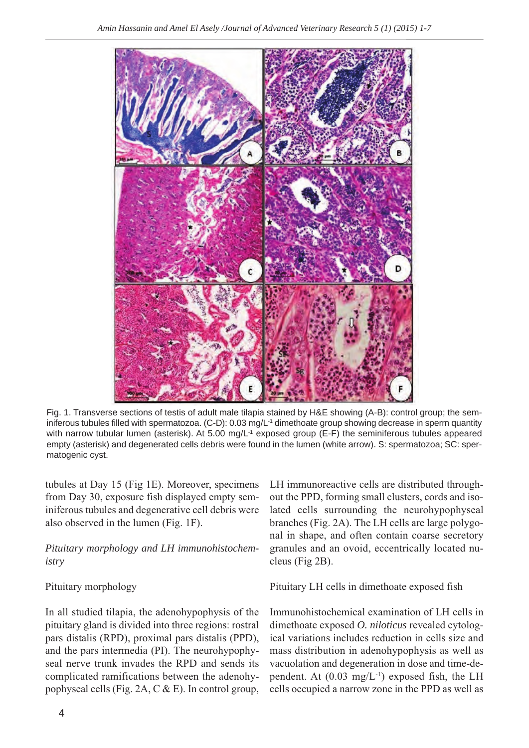

Fig. 1. Transverse sections of testis of adult male tilapia stained by H&E showing (A-B): control group; the seminiferous tubules filled with spermatozoa. (C-D): 0.03 mg/L-1 dimethoate group showing decrease in sperm quantity with narrow tubular lumen (asterisk). At 5.00 mg/ $L^{-1}$  exposed group (E-F) the seminiferous tubules appeared empty (asterisk) and degenerated cells debris were found in the lumen (white arrow). S: spermatozoa; SC: spermatogenic cyst.

tubules at Day 15 (Fig 1E). Moreover, specimens from Day 30, exposure fish displayed empty seminiferous tubules and degenerative cell debris were also observed in the lumen (Fig. 1F).

## *Pituitary morphology and LH immunohistochemistry*

## Pituitary morphology

In all studied tilapia, the adenohypophysis of the pituitary gland is divided into three regions: rostral pars distalis (RPD), proximal pars distalis (PPD), and the pars intermedia (PI). The neurohypophyseal nerve trunk invades the RPD and sends its complicated ramifications between the adenohypophyseal cells (Fig. 2A, C & E). In control group,

LH immunoreactive cells are distributed throughout the PPD, forming small clusters, cords and isolated cells surrounding the neurohypophyseal branches (Fig. 2A). The LH cells are large polygonal in shape, and often contain coarse secretory granules and an ovoid, eccentrically located nucleus (Fig 2B).

Pituitary LH cells in dimethoate exposed fish

Immunohistochemical examination of LH cells in dimethoate exposed *O. niloticus* revealed cytological variations includes reduction in cells size and mass distribution in adenohypophysis as well as vacuolation and degeneration in dose and time-dependent. At  $(0.03 \text{ mg/L}^{-1})$  exposed fish, the LH cells occupied a narrow zone in the PPD as well as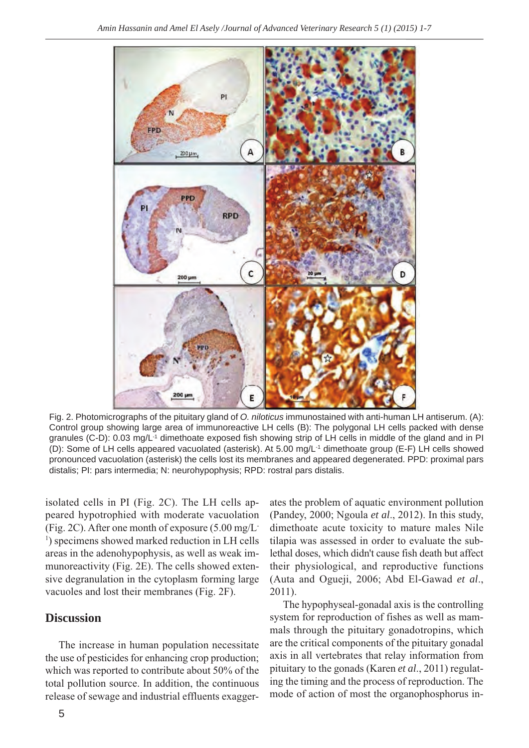

Fig. 2. Photomicrographs of the pituitary gland of *O. niloticus* immunostained with anti-human LH antiserum. (A): Control group showing large area of immunoreactive LH cells (B): The polygonal LH cells packed with dense granules (C-D): 0.03 mg/L-1 dimethoate exposed fish showing strip of LH cells in middle of the gland and in PI (D): Some of LH cells appeared vacuolated (asterisk). At 5.00 mg/L-1 dimethoate group (E-F) LH cells showed pronounced vacuolation (asterisk) the cells lost its membranes and appeared degenerated. PPD: proximal pars distalis; PI: pars intermedia; N: neurohypophysis; RPD: rostral pars distalis.

isolated cells in PI (Fig. 2C). The LH cells appeared hypotrophied with moderate vacuolation (Fig. 2C). After one month of exposure (5.00 mg/L-<sup>1</sup>) specimens showed marked reduction in LH cells areas in the adenohypophysis, as well as weak immunoreactivity (Fig. 2E). The cells showed extensive degranulation in the cytoplasm forming large vacuoles and lost their membranes (Fig. 2F).

# **Discussion**

The increase in human population necessitate the use of pesticides for enhancing crop production; which was reported to contribute about 50% of the total pollution source. In addition, the continuous release of sewage and industrial effluents exaggerates the problem of aquatic environment pollution (Pandey, 2000; Ngoula *et al*., 2012). In this study, dimethoate acute toxicity to mature males Nile tilapia was assessed in order to evaluate the sublethal doses, which didn't cause fish death but affect their physiological, and reproductive functions (Auta and Ogueji, 2006; Abd El-Gawad *et al*., 2011).

The hypophyseal-gonadal axis is the controlling system for reproduction of fishes as well as mammals through the pituitary gonadotropins, which are the critical components of the pituitary gonadal axis in all vertebrates that relay information from pituitary to the gonads (Karen *et al*., 2011) regulating the timing and the process of reproduction. The mode of action of most the organophosphorus in-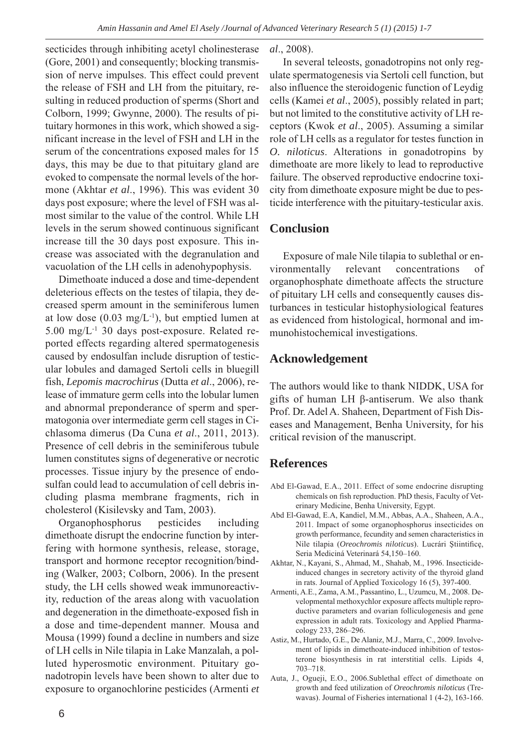secticides through inhibiting acetyl cholinesterase (Gore, 2001) and consequently; blocking transmission of nerve impulses. This effect could prevent the release of FSH and LH from the pituitary, resulting in reduced production of sperms (Short and Colborn, 1999; Gwynne, 2000). The results of pituitary hormones in this work, which showed a significant increase in the level of FSH and LH in the serum of the concentrations exposed males for 15 days, this may be due to that pituitary gland are evoked to compensate the normal levels of the hormone (Akhtar *et al*., 1996). This was evident 30 days post exposure; where the level of FSH was almost similar to the value of the control. While LH levels in the serum showed continuous significant increase till the 30 days post exposure. This increase was associated with the degranulation and vacuolation of the LH cells in adenohypophysis.

Dimethoate induced a dose and time-dependent deleterious effects on the testes of tilapia, they decreased sperm amount in the seminiferous lumen at low dose (0.03 mg/L-1), but emptied lumen at 5.00 mg/L-1 30 days post-exposure. Related reported effects regarding altered spermatogenesis caused by endosulfan include disruption of testicular lobules and damaged Sertoli cells in bluegill fish, *Lepomis macrochirus* (Dutta *et al*., 2006), release of immature germ cells into the lobular lumen and abnormal preponderance of sperm and spermatogonia over intermediate germ cell stages in Cichlasoma dimerus (Da Cuna *et al*., 2011, 2013). Presence of cell debris in the seminiferous tubule lumen constitutes signs of degenerative or necrotic processes. Tissue injury by the presence of endosulfan could lead to accumulation of cell debris including plasma membrane fragments, rich in cholesterol (Kisilevsky and Tam, 2003).

Organophosphorus pesticides including dimethoate disrupt the endocrine function by interfering with hormone synthesis, release, storage, transport and hormone receptor recognition/binding (Walker, 2003; Colborn, 2006). In the present study, the LH cells showed weak immunoreactivity, reduction of the areas along with vacuolation and degeneration in the dimethoate-exposed fish in a dose and time-dependent manner. Mousa and Mousa (1999) found a decline in numbers and size of LH cells in Nile tilapia in Lake Manzalah, a polluted hyperosmotic environment. Pituitary gonadotropin levels have been shown to alter due to exposure to organochlorine pesticides (Armenti *et* *al*., 2008).

In several teleosts, gonadotropins not only regulate spermatogenesis via Sertoli cell function, but also influence the steroidogenic function of Leydig cells (Kamei *et al*., 2005), possibly related in part; but not limited to the constitutive activity of LH receptors (Kwok *et al*., 2005). Assuming a similar role of LH cells as a regulator for testes function in *O. niloticus*. Alterations in gonadotropins by dimethoate are more likely to lead to reproductive failure. The observed reproductive endocrine toxicity from dimethoate exposure might be due to pesticide interference with the pituitary-testicular axis.

### **Conclusion**

Exposure of male Nile tilapia to sublethal or environmentally relevant concentrations of organophosphate dimethoate affects the structure of pituitary LH cells and consequently causes disturbances in testicular histophysiological features as evidenced from histological, hormonal and immunohistochemical investigations.

### **Acknowledgement**

The authors would like to thank NIDDK, USA for gifts of human LH β-antiserum. We also thank Prof. Dr. Adel A. Shaheen, Department of Fish Diseases and Management, Benha University, for his critical revision of the manuscript.

### **References**

- Abd El-Gawad, E.A., 2011. Effect of some endocrine disrupting chemicals on fish reproduction. PhD thesis, Faculty of Veterinary Medicine, Benha University, Egypt.
- Abd El-Gawad, E.A, Kandiel, M.M., Abbas, A.A., Shaheen, A.A., 2011. Impact of some organophosphorus insecticides on growth performance, fecundity and semen characteristics in Nile tilapia (*Oreochromis niloticus*). Lucrári Ştiintificę, Seria Mediciná Veterinará 54,150–160.
- Akhtar, N., Kayani, S., Ahmad, M., Shahab, M., 1996. Insecticideinduced changes in secretory activity of the thyroid gland in rats. Journal of Applied Toxicology 16 (5), 397-400.
- Armenti, A.E., Zama, A.M., Passantino, L., Uzumcu, M., 2008. Developmental methoxychlor exposure affects multiple reproductive parameters and ovarian folliculogenesis and gene expression in adult rats. Toxicology and Applied Pharmacology 233, 286–296.
- Astiz, M., Hurtado, G.E., De Alaniz, M.J., Marra, C., 2009. Involvement of lipids in dimethoate-induced inhibition of testosterone biosynthesis in rat interstitial cells. Lipids 4, 703–718.
- Auta, J., Ogueji, E.O., 2006.Sublethal effect of dimethoate on growth and feed utilization of *Oreochromis niloticus* (Trewavas). Journal of Fisheries international 1 (4-2), 163-166.